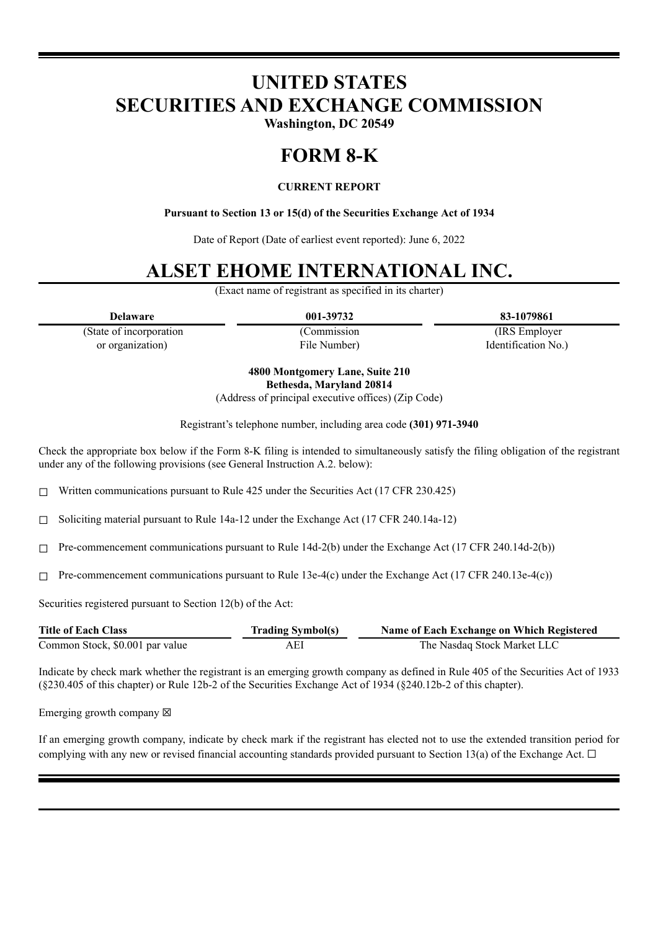# **UNITED STATES SECURITIES AND EXCHANGE COMMISSION**

**Washington, DC 20549**

### **FORM 8-K**

### **CURRENT REPORT**

**Pursuant to Section 13 or 15(d) of the Securities Exchange Act of 1934**

Date of Report (Date of earliest event reported): June 6, 2022

## **ALSET EHOME INTERNATIONAL INC.**

(Exact name of registrant as specified in its charter)

(State of incorporation or organization)

(Commission File Number)

**Delaware 001-39732 83-1079861** (IRS Employer

Identification No.)

**4800 Montgomery Lane, Suite 210 Bethesda, Maryland 20814**

(Address of principal executive offices) (Zip Code)

Registrant's telephone number, including area code **(301) 971-3940**

Check the appropriate box below if the Form 8-K filing is intended to simultaneously satisfy the filing obligation of the registrant under any of the following provisions (see General Instruction A.2. below):

☐ Written communications pursuant to Rule 425 under the Securities Act (17 CFR 230.425)

☐ Soliciting material pursuant to Rule 14a-12 under the Exchange Act (17 CFR 240.14a-12)

 $\Box$  Pre-commencement communications pursuant to Rule 14d-2(b) under the Exchange Act (17 CFR 240.14d-2(b))

 $\Box$  Pre-commencement communications pursuant to Rule 13e-4(c) under the Exchange Act (17 CFR 240.13e-4(c))

Securities registered pursuant to Section 12(b) of the Act:

| <b>Title of Each Class</b>      | <b>Trading Symbol(s)</b> | Name of Each Exchange on Which Registered |
|---------------------------------|--------------------------|-------------------------------------------|
| Common Stock, \$0.001 par value | AEI                      | The Nasdag Stock Market LLC               |

Indicate by check mark whether the registrant is an emerging growth company as defined in Rule 405 of the Securities Act of 1933 (§230.405 of this chapter) or Rule 12b-2 of the Securities Exchange Act of 1934 (§240.12b-2 of this chapter).

Emerging growth company  $\boxtimes$ 

If an emerging growth company, indicate by check mark if the registrant has elected not to use the extended transition period for complying with any new or revised financial accounting standards provided pursuant to Section 13(a) of the Exchange Act.  $\Box$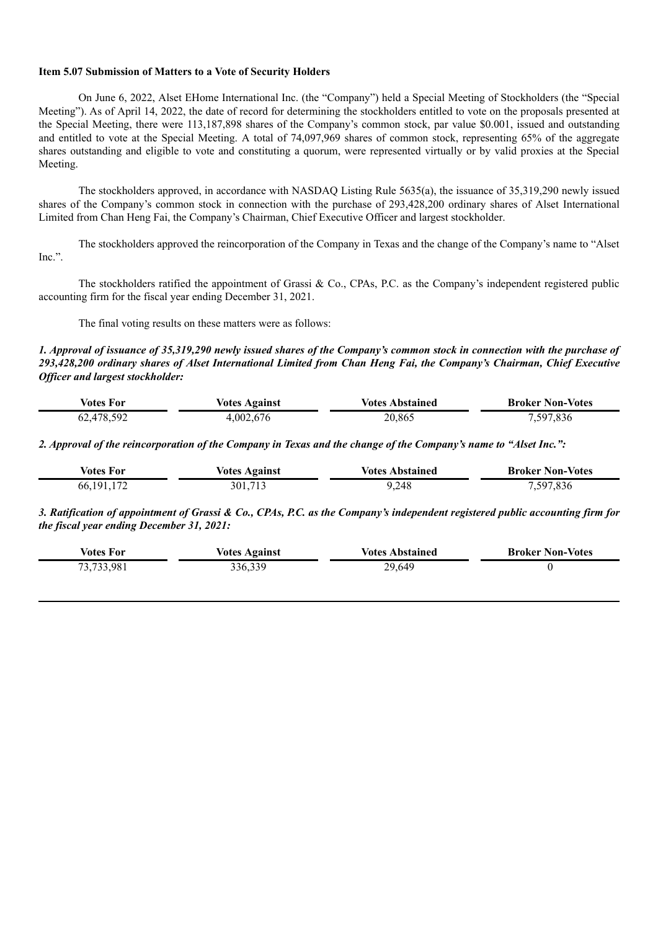#### **Item 5.07 Submission of Matters to a Vote of Security Holders**

On June 6, 2022, Alset EHome International Inc. (the "Company") held a Special Meeting of Stockholders (the "Special Meeting"). As of April 14, 2022, the date of record for determining the stockholders entitled to vote on the proposals presented at the Special Meeting, there were 113,187,898 shares of the Company's common stock, par value \$0.001, issued and outstanding and entitled to vote at the Special Meeting. A total of 74,097,969 shares of common stock, representing 65% of the aggregate shares outstanding and eligible to vote and constituting a quorum, were represented virtually or by valid proxies at the Special Meeting.

The stockholders approved, in accordance with NASDAQ Listing Rule 5635(a), the issuance of 35,319,290 newly issued shares of the Company's common stock in connection with the purchase of 293,428,200 ordinary shares of Alset International Limited from Chan Heng Fai, the Company's Chairman, Chief Executive Officer and largest stockholder.

The stockholders approved the reincorporation of the Company in Texas and the change of the Company's name to "Alset Inc.".

The stockholders ratified the appointment of Grassi & Co., CPAs, P.C. as the Company's independent registered public accounting firm for the fiscal year ending December 31, 2021.

The final voting results on these matters were as follows:

1. Approval of issuance of 35,319,290 newly issued shares of the Company's common stock in connection with the purchase of 293,428,200 ordinary shares of Alset International Limited from Chan Heng Fai, the Company's Chairman, Chief Executive *Of icer and largest stockholder:*

| votes For | Votes Against | Votes Abstained | <b>Broker Non-Votes</b> |
|-----------|---------------|-----------------|-------------------------|
| .478.592  | 4,002,676     | 20,865          | ',836<br>507<br>ر ب     |

2. Approval of the reincorporation of the Company in Texas and the change of the Company's name to "Alset Inc.":

| Votes For    | <b>Votes Against</b> | <b>Votes Abstained</b> | <b>Broker Non-Votes</b> |
|--------------|----------------------|------------------------|-------------------------|
| 66, 191, 172 | 301,713              | 9.248                  | 7,597,836               |

3. Ratification of appointment of Grassi & Co., CPAs, P.C. as the Company's independent registered public accounting firm for *the fiscal year ending December 31, 2021:*

| <b>Votes For</b> | <b>Votes Against</b> | <b>Votes Abstained</b> | <b>Broker Non-Votes</b> |
|------------------|----------------------|------------------------|-------------------------|
| 73,733,981       | 336,339              | 29,649                 |                         |